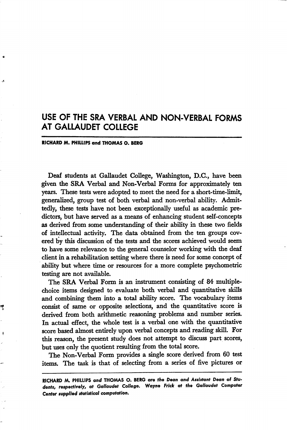## USE OF THE SRA VERBAL AND NON-VERBAL FORMS AT GALLAUDET COLLEGE

## RICHARD M. PHILLIPS and THOMAS O. BERG

Deaf students at Gallaudet College, Washington, D.C., have been given the SRA Verbal and Non-Verbal Forms for approximately ten years. These tests were adopted to meet the need for a short-time-limit, generalized, group test of both verbal and non-verbal ability. Admit tedly, these tests have not been exceptionally useful as academic pre dictors, but have served as a means of enhancing student self-concepts as derived from some understanding of their ability in these two fields of intellectual activity. The data obtained from the ten groups cov ered by this discussion of the tests and the scores achieved would seem to have some relevance to the general counselor working with the deaf client in a rehabilitation setting where there is need for some concept of ability but where time or resources for a more complete psychometric testing are not available.

The SRA Verbal Form is an instrument consisting of 84 multiplechoice items designed to evaluate both verbal and quantitative skills and combining them into a total ability score. The vocabulary items consist of same or opposite selections, and the quantitative score is derived from both arithmetic reasoning problems and number series. In actual effect, the whole test is a verbal one with the quantitative score based almost entirely upon verbal concepts and reading skill. For this reason, the present study does not attempt to discuss part scores, but uses only the quotient resulting from the total score.

The Non-Verbal Form provides a single score derived from 60 test items. The task is that of selecting from a series of five pictures or

RICHARD AA. PHILLIPS and THOMAS O. BERG ore the Dean and Assistant Dean of Stu dents, respectively, at Gallaudet College, Wayne Frick at the Gallaudet Computer Center supplied statistical computation.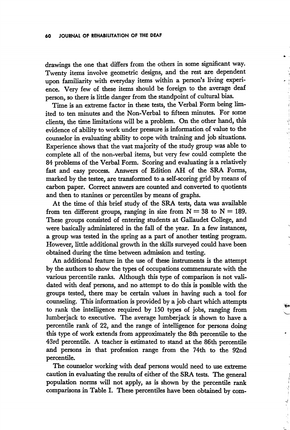drawings the one that differs from the others in some significant way. Twenty items involve geometric designs, and the rest are dependent upon familiarity with everyday items within a person's living experi ence. Very few of these items should be foreign to the average deaf person, so there is little danger from the standpoint of cultural bias.

Time is an extreme factor in these tests, the Verbal Form being lim ited to ten minutes and the Non-Verbal to fifteen minutes. For some clients, the time limitations will be a problem. On the other hand, this evidence of ability to work under pressure is information of value to the counselor in evaluating ability to cope with training and job situations. Experience shows that the vast majority of the study group was able to complete all of the non-verbal items, but very few could complete the 84 problems of the Verbal Form. Scoring and evaluating is a relatively fast and easy process. Answers of Edition AH of the SRA Forms, marked by the testee, are transformed to a self-scoring grid by means of carbon paper. Correct answers are counted and converted to quotients and then to stanines or percentiles by means of graphs.

At the time of this brief study of the SRA tests, data was available from ten different groups, ranging in size from  $N = 38$  to  $N = 189$ . These groups consisted of entering students at Gallaudet College, and were basically administered in the fall of the year. In a few instances, a group was tested in the spring as a part of another testing program. However, little additional growth in the skills surveyed could have been obtained during the time between admission and testing.

An additional feature in the use of these instruments is the attempt by the authors to show the types of occupations commensurate with the various percentile ranks. Although this type of comparison is not vali dated with deaf persons, and no attempt to do this is possible with the groups tested, there may be certain values in having such a tool for counseling. This information is provided by a job chart which attempts to rank the intelligence required by 150 types of jobs, ranging from lumberjack to executive. The average lumberjack is shown to have a percentile rank of 22, and the range of intelligence for persons doing this type of work extends from approximately the 8th percentile to the 43rd percentile. A teacher is estimated to stand at the 86th percentile and persons in that profession range from the 74th to the 92nd percentile.

The counselor working with deaf persons would need to use extreme caution in evaluating the results of either of the SRA tests. The general population norms will not apply, as is shown by the percentile rank comparisons in Table I. These percentiles have been obtained by com-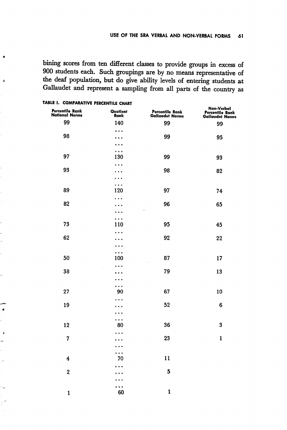bining scores from ten different classes to provide groups in excess of 900 students each. Such groupings are by no means representative of the deaf population, but do give ability levels of entering students at Gallaudet and represent a sampling from all parts of the country as

| Percentile Rank<br>National Norms | Quotient<br>Rank           | Percentile Rank<br>Gallaudet Norms | Non-Verbal<br>Percentile Rank<br>Gallaudet Norms |
|-----------------------------------|----------------------------|------------------------------------|--------------------------------------------------|
| 99                                | 140                        | 99                                 | 99                                               |
|                                   | .                          |                                    |                                                  |
| 98                                | $\bullet$                  | 99                                 | 95                                               |
|                                   | $\ddotsc$                  |                                    |                                                  |
| 97                                | $\ddotsc$<br>130           | 99                                 | 93                                               |
|                                   | $\ddotsc$                  |                                    |                                                  |
| 93                                | $\bullet$                  | 98                                 | 82                                               |
|                                   | . .                        |                                    |                                                  |
|                                   | .                          |                                    |                                                  |
| 89                                | 120                        | 97                                 | 74                                               |
| 82                                | .                          | 96                                 | 65                                               |
|                                   |                            |                                    |                                                  |
|                                   | .                          |                                    |                                                  |
| 73                                | 110                        | 95                                 | 45                                               |
|                                   | ٠<br>$\bullet$             |                                    |                                                  |
| 62                                |                            | 92                                 | 22                                               |
|                                   | $\bullet$                  |                                    |                                                  |
| 50                                | $\ddotsc$<br>100           | 87                                 | 17                                               |
|                                   | .                          |                                    |                                                  |
| 38                                |                            | 79                                 | 13                                               |
|                                   |                            |                                    |                                                  |
|                                   | .                          |                                    |                                                  |
| 27                                | 90                         | 67                                 | 10                                               |
| 19                                |                            | 52                                 | 6                                                |
|                                   |                            |                                    |                                                  |
|                                   | .                          |                                    |                                                  |
| 12                                | 80                         | 36<br>ł,                           | 3                                                |
|                                   |                            |                                    |                                                  |
| 7                                 |                            | 23                                 | $\mathbf{1}$                                     |
|                                   | $\bullet$<br>$\ddotsc$     |                                    |                                                  |
| 4                                 | 70                         | 11                                 |                                                  |
|                                   |                            |                                    |                                                  |
| $\overline{\mathbf{2}}$           |                            | 5                                  |                                                  |
|                                   |                            |                                    |                                                  |
|                                   | $\ddot{\phantom{0}}$<br>60 | $\mathbf{1}$                       |                                                  |
| $\mathbf{1}$                      |                            |                                    |                                                  |

## TABLE I. COMPARATIVE PERCENTILE CHART

À

 $\lambda$ 

 $\lambda$ 

 $\overline{\mathbf{z}}$